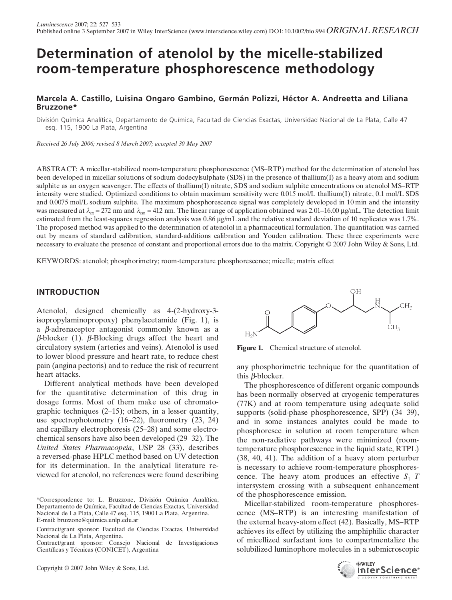# **Determination of atenolol by the micelle-stabilized room-temperature phosphorescence methodology**

# **Marcela A. Castillo, Luisina Ongaro Gambino, Germán Polizzi, Héctor A. Andreetta and Liliana Bruzzone\***

División Química Analítica, Departamento de Química, Facultad de Ciencias Exactas, Universidad Nacional de La Plata, Calle 47 esq. 115, 1900 La Plata, Argentina

*Received 26 July 2006; revised 8 March 2007; accepted 30 May 2007*

ABSTRACT: A micellar-stabilized room-temperature phosphorescence (MS–RTP) method for the determination of atenolol has been developed in micellar solutions of sodium dodecylsulphate (SDS) in the presence of thallium(I) as a heavy atom and sodium sulphite as an oxygen scavenger. The effects of thallium(I) nitrate, SDS and sodium sulphite concentrations on atenolol MS–RTP intensity were studied. Optimized conditions to obtain maximum sensitivity were 0.015 mol/L thallium(I) nitrate, 0.1 mol/L SDS and 0.0075 mol/L sodium sulphite. The maximum phosphorescence signal was completely developed in 10 min and the intensity was measured at  $\lambda_{\rm ex} = 272$  nm and  $\lambda_{\rm em} = 412$  nm. The linear range of application obtained was 2.01–16.00 μg/mL. The detection limit estimated from the least-squares regression analysis was 0.86 μg/mL and the relative standard deviation of 10 replicates was 1.7%. The proposed method was applied to the determination of atenolol in a pharmaceutical formulation. The quantitation was carried out by means of standard calibration, standard-additions calibration and Youden calibration. These three experiments were necessary to evaluate the presence of constant and proportional errors due to the matrix. Copyright © 2007 John Wiley & Sons, Ltd.

KEYWORDS: atenolol; phosphorimetry; room-temperature phosphorescence; micelle; matrix effect

# **INTRODUCTION**

Atenolol, designed chemically as 4-(2-hydroxy-3 isopropylaminopropoxy) phenylacetamide (Fig. 1), is a β-adrenaceptor antagonist commonly known as a β-blocker (1). β-Blocking drugs affect the heart and circulatory system (arteries and veins). Atenolol is used to lower blood pressure and heart rate, to reduce chest pain (angina pectoris) and to reduce the risk of recurrent heart attacks.

Different analytical methods have been developed for the quantitative determination of this drug in dosage forms. Most of them make use of chromatographic techniques (2–15); others, in a lesser quantity, use spectrophotometry (16–22), fluorometry (23, 24) and capillary electrophoresis (25–28) and some electrochemical sensors have also been developed (29–32). The *United States Pharmacopeia*, USP 28 (33), describes a reversed-phase HPLC method based on UV detection for its determination. In the analytical literature reviewed for atenolol, no references were found describing

Contract/grant sponsor: Consejo Nacional de Investigaciones Científicas y Técnicas (CONICET), Argentina



Figure 1. Chemical structure of atenolol.

any phosphorimetric technique for the quantitation of this β-blocker.

The phosphorescence of different organic compounds has been normally observed at cryogenic temperatures (77K) and at room temperature using adequate solid supports (solid-phase phosphorescence, SPP) (34–39), and in some instances analytes could be made to phosphoresce in solution at room temperature when the non-radiative pathways were minimized (roomtemperature phosphorescence in the liquid state, RTPL) (38, 40, 41). The addition of a heavy atom perturber is necessary to achieve room-temperature phosphorescence. The heavy atom produces an effective  $S_1$ –*T* intersystem crossing with a subsequent enhancement of the phosphorescence emission.

Micellar-stabilized room-temperature phosphorescence (MS–RTP) is an interesting manifestation of the external heavy-atom effect (42). Basically, MS–RTP achieves its effect by utilizing the amphiphilic character of micellized surfactant ions to compartmentalize the solubilized luminophore molecules in a submicroscopic



<sup>\*</sup>Correspondence to: L. Bruzzone, División Química Analítica, Departamento de Química, Facultad de Ciencias Exactas, Universidad Nacional de La Plata, Calle 47 esq. 115, 1900 La Plata, Argentina. E-mail: bruzzone@quimica.unlp.edu.ar

Contract/grant sponsor: Facultad de Ciencias Exactas, Universidad Nacional de La Plata, Argentina.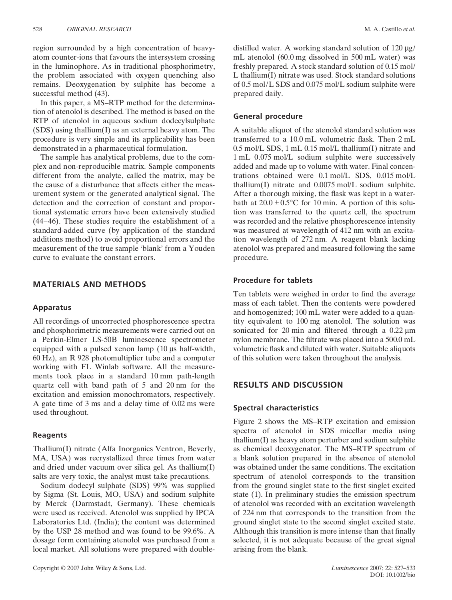region surrounded by a high concentration of heavyatom counter-ions that favours the intersystem crossing in the luminophore. As in traditional phosphorimetry, the problem associated with oxygen quenching also remains. Deoxygenation by sulphite has become a successful method (43).

In this paper, a MS–RTP method for the determination of atenolol is described. The method is based on the RTP of atenolol in aqueous sodium dodecylsulphate (SDS) using thallium(I) as an external heavy atom. The procedure is very simple and its applicability has been demonstrated in a pharmaceutical formulation.

The sample has analytical problems, due to the complex and non-reproducible matrix. Sample components different from the analyte, called the matrix, may be the cause of a disturbance that affects either the measurement system or the generated analytical signal. The detection and the correction of constant and proportional systematic errors have been extensively studied (44–46). These studies require the establishment of a standard-added curve (by application of the standard additions method) to avoid proportional errors and the measurement of the true sample 'blank' from a Youden curve to evaluate the constant errors.

# **MATERIALS AND METHODS**

## **Apparatus**

All recordings of uncorrected phosphorescence spectra and phosphorimetric measurements were carried out on a Perkin-Elmer LS-50B luminescence spectrometer equipped with a pulsed xenon lamp (10 μs half-width, 60 Hz), an R 928 photomultiplier tube and a computer working with FL Winlab software. All the measurements took place in a standard 10 mm path-length quartz cell with band path of 5 and 20 nm for the excitation and emission monochromators, respectively. A gate time of 3 ms and a delay time of 0.02 ms were used throughout.

#### **Reagents**

Thallium(I) nitrate (Alfa Inorganics Ventron, Beverly, MA, USA) was recrystallized three times from water and dried under vacuum over silica gel. As thallium(I) salts are very toxic, the analyst must take precautions.

Sodium dodecyl sulphate (SDS) 99% was supplied by Sigma (St. Louis, MO, USA) and sodium sulphite by Merck (Darmstadt, Germany). These chemicals were used as received. Atenolol was supplied by IPCA Laboratories Ltd. (India); the content was determined by the USP 28 method and was found to be 99.6%. A dosage form containing atenolol was purchased from a local market. All solutions were prepared with doubledistilled water. A working standard solution of 120 μg/ mL atenolol (60.0 mg dissolved in 500 mL water) was freshly prepared. A stock standard solution of 0.15 mol/ L thallium(I) nitrate was used. Stock standard solutions of 0.5 mol/L SDS and 0.075 mol/L sodium sulphite were prepared daily.

## **General procedure**

A suitable aliquot of the atenolol standard solution was transferred to a 10.0 mL volumetric flask. Then 2 mL 0.5 mol/L SDS, 1 mL 0.15 mol/L thallium(I) nitrate and 1 mL 0.075 mol/L sodium sulphite were successively added and made up to volume with water. Final concentrations obtained were 0.1 mol/L SDS, 0.015 mol/L thallium(I) nitrate and 0.0075 mol/L sodium sulphite. After a thorough mixing, the flask was kept in a waterbath at  $20.0 \pm 0.5^{\circ}$ C for 10 min. A portion of this solution was transferred to the quartz cell, the spectrum was recorded and the relative phosphorescence intensity was measured at wavelength of 412 nm with an excitation wavelength of 272 nm. A reagent blank lacking atenolol was prepared and measured following the same procedure.

## **Procedure for tablets**

Ten tablets were weighed in order to find the average mass of each tablet. Then the contents were powdered and homogenized; 100 mL water were added to a quantity equivalent to 100 mg atenolol. The solution was sonicated for 20 min and filtered through a 0.22 μm nylon membrane. The filtrate was placed into a 500.0 mL volumetric flask and diluted with water. Suitable aliquots of this solution were taken throughout the analysis.

## **RESULTS AND DISCUSSION**

#### **Spectral characteristics**

Figure 2 shows the MS–RTP excitation and emission spectra of atenolol in SDS micellar media using thallium(I) as heavy atom perturber and sodium sulphite as chemical deoxygenator. The MS–RTP spectrum of a blank solution prepared in the absence of atenolol was obtained under the same conditions. The excitation spectrum of atenolol corresponds to the transition from the ground singlet state to the first singlet excited state (1). In preliminary studies the emission spectrum of atenolol was recorded with an excitation wavelength of 224 nm that corresponds to the transition from the ground singlet state to the second singlet excited state. Although this transition is more intense than that finally selected, it is not adequate because of the great signal arising from the blank.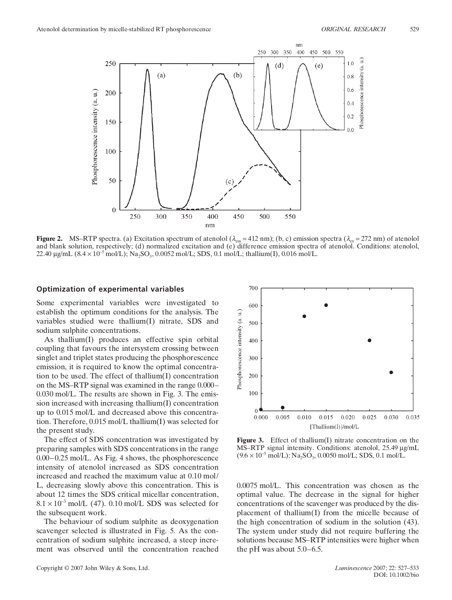

**Figure 2.** MS–RTP spectra. (a) Excitation spectrum of atenolol  $(\lambda_{em} = 412 \text{ nm})$ ; (b, c) emission spectra  $(\lambda_{ex} = 272 \text{ nm})$  of atenolol and blank solution, respectively; (d) normalized excitation and (e) difference emission spectra of atenolol. Conditions: atenolol,  $22.40 \mu\text{g/mL}$   $(8.4 \times 10^{-5} \text{ mol/L})$ ; Na<sub>2</sub>SO<sub>3</sub>, 0.0052 mol/L; SDS, 0.1 mol/L; thallium(I), 0.016 mol/L.

#### **Optimization of experimental variables**

Some experimental variables were investigated to establish the optimum conditions for the analysis. The variables studied were thallium(I) nitrate, SDS and sodium sulphite concentrations.

As thallium(I) produces an effective spin orbital coupling that favours the intersystem crossing between singlet and triplet states producing the phosphorescence emission, it is required to know the optimal concentration to be used. The effect of thallium(I) concentration on the MS–RTP signal was examined in the range 0.000– 0.030 mol/L. The results are shown in Fig. 3. The emission increased with increasing thallium(I) concentration up to 0.015 mol/L and decreased above this concentration. Therefore, 0.015 mol/L thallium(I) was selected for the present study.

The effect of SDS concentration was investigated by preparing samples with SDS concentrations in the range 0.00–0.25 mol/L. As Fig. 4 shows, the phosphorescence intensity of atenolol increased as SDS concentration increased and reached the maximum value at 0.10 mol/ L, decreasing slowly above this concentration. This is about 12 times the SDS critical micellar concentration,  $8.1 \times 10^{-3}$  mol/L (47). 0.10 mol/L SDS was selected for the subsequent work.

The behaviour of sodium sulphite as deoxygenation scavenger selected is illustrated in Fig. 5. As the concentration of sodium sulphite increased, a steep increment was observed until the concentration reached



**Figure 3.** Effect of thallium(I) nitrate concentration on the MS–RTP signal intensity. Conditions: atenolol, 25.49 μg/mL  $(9.6 \times 10^{-5} \text{ mol/L})$ ; Na<sub>2</sub>SO<sub>3</sub>, 0.0050 mol/L; SDS, 0.1 mol/L.

0.0075 mol/L. This concentration was chosen as the optimal value. The decrease in the signal for higher concentrations of the scavenger was produced by the displacement of thallium(I) from the micelle because of the high concentration of sodium in the solution (43). The system under study did not require buffering the solutions because MS–RTP intensities were higher when the pH was about 5.0–6.5.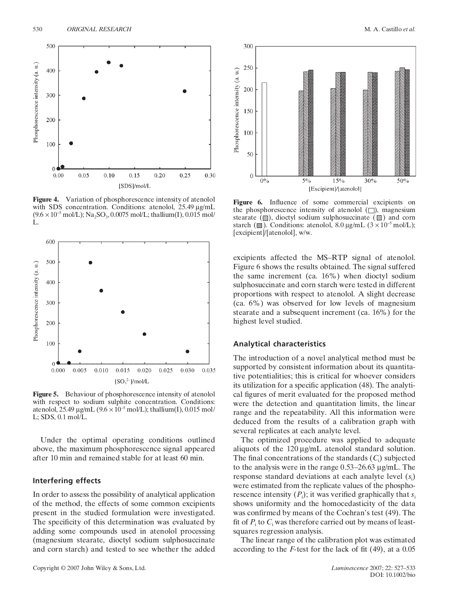

**Figure 4.** Variation of phosphorescence intensity of atenolol with SDS concentration. Conditions: atenolol, 25.49 μg/mL  $(9.6 \times 10^{-5} \text{ mol/L})$ ; Na<sub>2</sub>SO<sub>3</sub>, 0.0075 mol/L; thallium(I), 0.015 mol/ L.



**Figure 5.** Behaviour of phosphorescence intensity of atenolol with respect to sodium sulphite concentration. Conditions: atenolol, 25.49 μg/mL ( $9.6 \times 10^{-5}$  mol/L); thallium(I), 0.015 mol/ L; SDS, 0.1 mol/L.

Under the optimal operating conditions outlined above, the maximum phosphorescence signal appeared after 10 min and remained stable for at least 60 min.

### **Interfering effects**

In order to assess the possibility of analytical application of the method, the effects of some common excipients present in the studied formulation were investigated. The specificity of this determination was evaluated by adding some compounds used in atenolol processing (magnesium stearate, dioctyl sodium sulphosuccinate and corn starch) and tested to see whether the added



**Figure 6.** Influence of some commercial excipients on the phosphorescence intensity of atenolol  $(\Box)$ , magnesium stearate  $(\mathbb{Z})$ , dioctyl sodium sulphosuccinate  $(\mathbb{S})$  and corn starch ( $\mathcal{B}$ ). Conditions: atenolol, 8.0 μg/mL (3 × 10<sup>-5</sup> mol/L); [excipient]/[atenolol], w/w.

excipients affected the MS–RTP signal of atenolol. Figure 6 shows the results obtained. The signal suffered the same increment (ca. 16%) when dioctyl sodium sulphosuccinate and corn starch were tested in different proportions with respect to atenolol. A slight decrease (ca. 6%) was observed for low levels of magnesium stearate and a subsequent increment (ca. 16%) for the highest level studied.

#### **Analytical characteristics**

The introduction of a novel analytical method must be supported by consistent information about its quantitative potentialities; this is critical for whoever considers its utilization for a specific application (48). The analytical figures of merit evaluated for the proposed method were the detection and quantitation limits, the linear range and the repeatability. All this information were deduced from the results of a calibration graph with several replicates at each analyte level.

The optimized procedure was applied to adequate aliquots of the 120 μg/mL atenolol standard solution. The final concentrations of the standards (*C*<sup>i</sup> ) subjected to the analysis were in the range 0.53–26.63 μg/mL. The response standard deviations at each analyte level (*s*<sup>i</sup> ) were estimated from the replicate values of the phosphorescence intensity  $(P_i)$ ; it was verified graphically that  $s_i$ shows uniformity and the homocedasticity of the data was confirmed by means of the Cochran's test (49). The fit of  $P_i$  to  $C_i$  was therefore carried out by means of leastsquares regression analysis.

The linear range of the calibration plot was estimated according to the *F*-test for the lack of fit (49), at a 0.05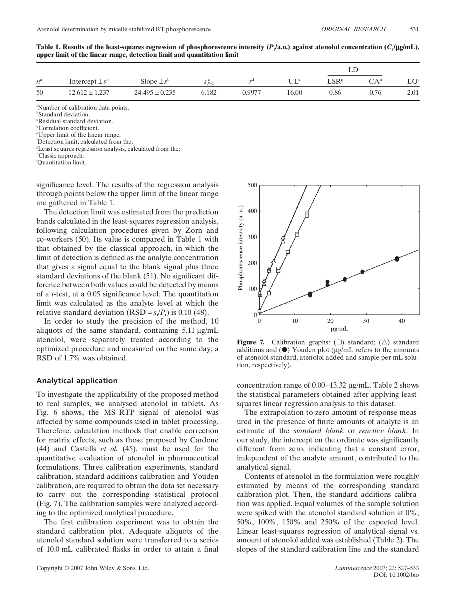|             |                     |                    |           |        |                          | $\sqrt{ }$       |                                 |                 |
|-------------|---------------------|--------------------|-----------|--------|--------------------------|------------------|---------------------------------|-----------------|
| $n^{\rm a}$ | Intercept $\pm s^b$ | Slope $\pm s^b$    | $S_{P/C}$ |        | $\mathrm{UL}^\mathrm{e}$ | LSR <sup>g</sup> | $\bigcap$ $\Delta$ <sup>h</sup> | LO <sup>i</sup> |
| 50          | $12.612 \pm 1.237$  | $24.495 \pm 0.235$ | 6.182     | 0.9977 | 16.00                    | 0.86             | 0.76                            | 2.01            |

**Table 1. Results of the least-squares regression of phosphorescence intensity (***Pi***/a.u.) against atenolol concentration (***Ci***/**μ**g/mL), upper limit of the linear range, detection limit and quantitation limit**

a Number of calibration data points.

b Standard deviation.

c Residual standard deviation.

d Correlation coefficient.

e Upper limit of the linear range.

f Detection limit, calculated from the:

g Least squares regression analysis, calculated from the:

<sup>h</sup>Classic approach.

i Quantitation limit.

significance level. The results of the regression analysis through points below the upper limit of the linear range are gathered in Table 1.

The detection limit was estimated from the prediction bands calculated in the least-squares regression analysis, following calculation procedures given by Zorn and co-workers (50). Its value is compared in Table 1 with that obtained by the classical approach, in which the limit of detection is defined as the analyte concentration that gives a signal equal to the blank signal plus three standard deviations of the blank (51). No significant difference between both values could be detected by means of a *t*-test, at a 0.05 significance level. The quantitation limit was calculated as the analyte level at which the relative standard deviation  $(RSD = s_i/P_i)$  is 0.10 (48).

In order to study the precision of the method, 10 aliquots of the same standard, containing 5.11 μg/mL atenolol, were separately treated according to the optimized procedure and measured on the same day; a RSD of 1.7% was obtained.

#### **Analytical application**

To investigate the applicability of the proposed method to real samples, we analysed atenolol in tablets. As Fig. 6 shows, the MS–RTP signal of atenolol was affected by some compounds used in tablet processing. Therefore, calculation methods that enable correction for matrix effects, such as those proposed by Cardone (44) and Castells *et al.* (45), must be used for the quantitative evaluation of atenolol in pharmaceutical formulations. Three calibration experiments, standard calibration, standard-additions calibration and Youden calibration, are required to obtain the data set necessary to carry out the corresponding statistical protocol (Fig. 7). The calibration samples were analyzed according to the optimized analytical procedure.

The first calibration experiment was to obtain the standard calibration plot. Adequate aliquots of the atenolol standard solution were transferred to a series of 10.0 mL calibrated flasks in order to attain a final



**Figure 7.** Calibration graphs:  $(\Box)$  standard;  $(\triangle)$  standard additions and  $(\bullet)$  Youden plot (μg/mL refers to the amounts of atenolol standard, atenolol added and sample per mL solution, respectively).

concentration range of 0.00–13.32 μg/mL. Table 2 shows the statistical parameters obtained after applying leastsquares linear regression analysis to this dataset.

The extrapolation to zero amount of response measured in the presence of finite amounts of analyte is an estimate of the *standard blank* or *reactive blank*. In our study, the intercept on the ordinate was significantly different from zero, indicating that a constant error, independent of the analyte amount, contributed to the analytical signal.

Contents of atenolol in the formulation were roughly estimated by means of the corresponding standard calibration plot. Then, the standard additions calibration was applied. Equal volumes of the sample solution were spiked with the atenolol standard solution at 0%, 50%, 100%, 150% and 250% of the expected level. Linear least-squares regression of analytical signal vs. amount of atenolol added was established (Table 2). The slopes of the standard calibration line and the standard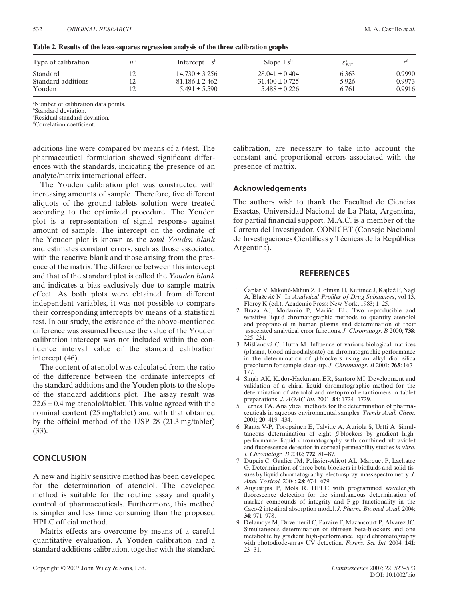| Type of calibration | $n^{\circ}$ | Intercept $\pm s^b$ | Slope $\pm s^b$  | $S_{P/C}$ |        |
|---------------------|-------------|---------------------|------------------|-----------|--------|
| Standard            |             | $14.730 \pm 3.256$  | $28.041 + 0.404$ | 6.363     | 0.9990 |
| Standard additions  |             | $81.186 + 2.462$    | $31.400 + 0.725$ | 5.926     | 0.9973 |
| Youden              |             | $5.491 \pm 5.590$   | $5.488 + 0.226$  | 6.761     | 0.9916 |

#### **Table 2. Results of the least-squares regression analysis of the three calibration graphs**

a Number of calibration data points.

b Standard deviation.

c Residual standard deviation.

d Correlation coefficient.

additions line were compared by means of a *t*-test. The pharmaceutical formulation showed significant differences with the standards, indicating the presence of an analyte/matrix interactional effect.

The Youden calibration plot was constructed with increasing amounts of sample. Therefore, five different aliquots of the ground tablets solution were treated according to the optimized procedure. The Youden plot is a representation of signal response against amount of sample. The intercept on the ordinate of the Youden plot is known as the *total Youden blank* and estimates constant errors, such as those associated with the reactive blank and those arising from the presence of the matrix. The difference between this intercept and that of the standard plot is called the *Youden blank* and indicates a bias exclusively due to sample matrix effect. As both plots were obtained from different independent variables, it was not possible to compare their corresponding intercepts by means of a statistical test. In our study, the existence of the above-mentioned difference was assumed because the value of the Youden calibration intercept was not included within the confidence interval value of the standard calibration intercept (46).

The content of atenolol was calculated from the ratio of the difference between the ordinate intercepts of the standard additions and the Youden plots to the slope of the standard additions plot. The assay result was  $22.6 \pm 0.4$  mg atenolol/tablet. This value agreed with the nominal content (25 mg/tablet) and with that obtained by the official method of the USP 28 (21.3 mg/tablet) (33).

# **CONCLUSION**

A new and highly sensitive method has been developed for the determination of atenolol. The developed method is suitable for the routine assay and quality control of pharmaceuticals. Furthermore, this method is simpler and less time consuming than the proposed HPLC official method.

Matrix effects are overcome by means of a careful quantitative evaluation. A Youden calibration and a standard additions calibration, together with the standard

calibration, are necessary to take into account the constant and proportional errors associated with the presence of matrix.

# **Acknowledgements**

The authors wish to thank the Facultad de Ciencias Exactas, Universidad Nacional de La Plata, Argentina, for partial financial support. M.A.C. is a member of the Carrera del Investigador, CONICET (Consejo Nacional de Investigaciones Científicas y Técnicas de la República Argentina).

# **REFERENCES**

- 1. Čaplar V, Mikotić-Mihun Z, Hofman H, Kuftinec J, Kajfež F, Nagl A, Blažević N. In *Analytical Profiles of Drug Substances*, vol 13, Florey K (ed.). Academic Press: New York, 1983; 1–25.
- 2. Braza AJ, Modamio P, Mariño EL. Two reproducible and sensitive liquid chromatographic methods to quantify atenolol and propranolol in human plasma and determination of their associated analytical error functions. *J. Chromatogr. B* 2000; **738**: 225–231.
- 3. Mišl'anová C, Hutta M. Influence of various biological matrices (plasma, blood microdialysate) on chromatographic performance in the determination of  $\beta$ -blockers using an alkyl–diol silica precolumn for sample clean-up. *J. Chromatogr. B* 2001; **765**: 167– 177.
- 4. Singh AK, Kedor-Hackmann ER, Santoro MI. Development and validation of a chiral liquid chromatographic method for the determination of atenolol and metoprolol enantiomers in tablet preparations. *J. AOAC Int.* 2001; **84**: 1724 –1729.
- 5. Ternes TA. Analytical methods for the determination of pharmaceuticals in aqueous environmental samples. *Trends Anal. Chem.* 2001; **20**: 419–434.
- 6. Ranta V-P, Toropainen E, Talvitie A, Auriola S, Urtti A. Simultaneous determination of eight β-blockers by gradient highperformance liquid chromatography with combined ultraviolet and fluorescence detection in corneal permeability studies *in vitro*. *J. Chromatogr. B* 2002; **772**: 81–87.
- 7. Dupuis C, Gaulier JM, Pelissier-Alicot AL, Marquet P, Lachatre G. Determination of three beta-blockers in biofluids and solid tissues by liquid chromatography–electrospray–mass spectrometry. *J. Anal. Toxicol.* 2004; **28**: 674–679.
- 8. Augustijns P, Mols R. HPLC with programmed wavelength fluorescence detection for the simultaneous determination of marker compounds of integrity and P-gp functionality in the Caco-2 intestinal absorption model. *J. Pharm. Biomed. Anal.* 2004; **34**: 971–978.
- 9. Delamoye M, Duverneuil C, Paraire F, Mazancourt P, Alvarez JC. Simultaneous determination of thirteen beta-blockers and one metabolite by gradient high-performance liquid chromatography with photodiode-array UV detection. *Forens. Sci. Int.* 2004; **141**:  $23 - 31$ .